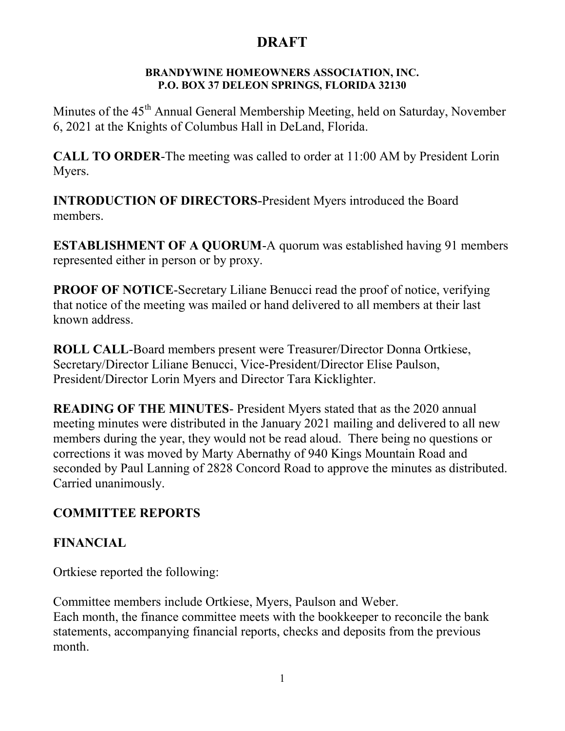#### BRANDYWINE HOMEOWNERS ASSOCIATION, INC. P.O. BOX 37 DELEON SPRINGS, FLORIDA 32130

Minutes of the 45<sup>th</sup> Annual General Membership Meeting, held on Saturday, November 6, 2021 at the Knights of Columbus Hall in DeLand, Florida.

CALL TO ORDER-The meeting was called to order at 11:00 AM by President Lorin Myers.

INTRODUCTION OF DIRECTORS-President Myers introduced the Board members.

ESTABLISHMENT OF A QUORUM-A quorum was established having 91 members represented either in person or by proxy.

PROOF OF NOTICE-Secretary Liliane Benucci read the proof of notice, verifying that notice of the meeting was mailed or hand delivered to all members at their last known address.

ROLL CALL-Board members present were Treasurer/Director Donna Ortkiese, Secretary/Director Liliane Benucci, Vice-President/Director Elise Paulson, President/Director Lorin Myers and Director Tara Kicklighter.

READING OF THE MINUTES- President Myers stated that as the 2020 annual meeting minutes were distributed in the January 2021 mailing and delivered to all new members during the year, they would not be read aloud. There being no questions or corrections it was moved by Marty Abernathy of 940 Kings Mountain Road and seconded by Paul Lanning of 2828 Concord Road to approve the minutes as distributed. Carried unanimously.

#### COMMITTEE REPORTS

#### FINANCIAL

Ortkiese reported the following:

Committee members include Ortkiese, Myers, Paulson and Weber. Each month, the finance committee meets with the bookkeeper to reconcile the bank statements, accompanying financial reports, checks and deposits from the previous month.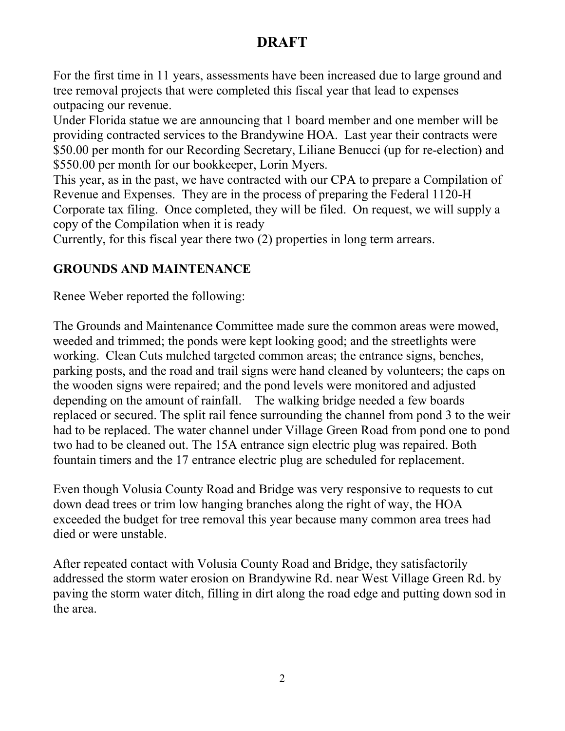For the first time in 11 years, assessments have been increased due to large ground and tree removal projects that were completed this fiscal year that lead to expenses outpacing our revenue.

Under Florida statue we are announcing that 1 board member and one member will be providing contracted services to the Brandywine HOA. Last year their contracts were \$50.00 per month for our Recording Secretary, Liliane Benucci (up for re-election) and \$550.00 per month for our bookkeeper, Lorin Myers.

This year, as in the past, we have contracted with our CPA to prepare a Compilation of Revenue and Expenses. They are in the process of preparing the Federal 1120-H Corporate tax filing. Once completed, they will be filed. On request, we will supply a copy of the Compilation when it is ready

Currently, for this fiscal year there two (2) properties in long term arrears.

#### GROUNDS AND MAINTENANCE

Renee Weber reported the following:

The Grounds and Maintenance Committee made sure the common areas were mowed, weeded and trimmed; the ponds were kept looking good; and the streetlights were working. Clean Cuts mulched targeted common areas; the entrance signs, benches, parking posts, and the road and trail signs were hand cleaned by volunteers; the caps on the wooden signs were repaired; and the pond levels were monitored and adjusted depending on the amount of rainfall. The walking bridge needed a few boards replaced or secured. The split rail fence surrounding the channel from pond 3 to the weir had to be replaced. The water channel under Village Green Road from pond one to pond two had to be cleaned out. The 15A entrance sign electric plug was repaired. Both fountain timers and the 17 entrance electric plug are scheduled for replacement.

Even though Volusia County Road and Bridge was very responsive to requests to cut down dead trees or trim low hanging branches along the right of way, the HOA exceeded the budget for tree removal this year because many common area trees had died or were unstable.

After repeated contact with Volusia County Road and Bridge, they satisfactorily addressed the storm water erosion on Brandywine Rd. near West Village Green Rd. by paving the storm water ditch, filling in dirt along the road edge and putting down sod in the area.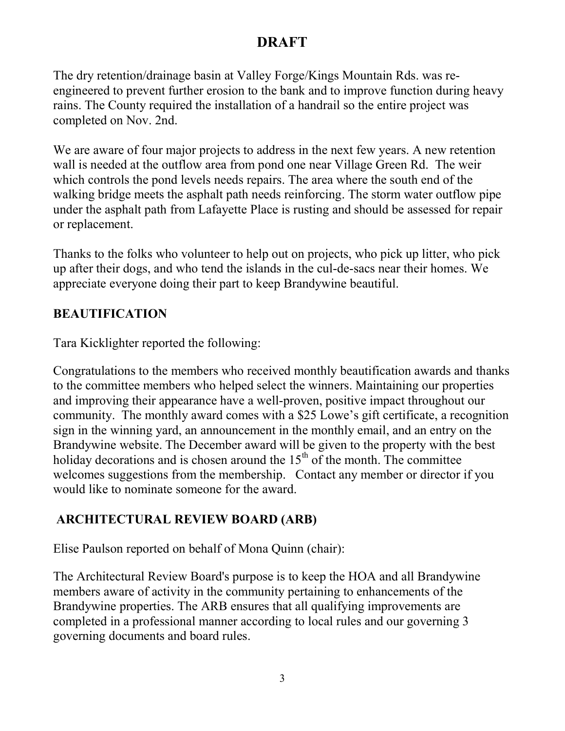The dry retention/drainage basin at Valley Forge/Kings Mountain Rds. was reengineered to prevent further erosion to the bank and to improve function during heavy rains. The County required the installation of a handrail so the entire project was completed on Nov. 2nd.

We are aware of four major projects to address in the next few years. A new retention wall is needed at the outflow area from pond one near Village Green Rd. The weir which controls the pond levels needs repairs. The area where the south end of the walking bridge meets the asphalt path needs reinforcing. The storm water outflow pipe under the asphalt path from Lafayette Place is rusting and should be assessed for repair or replacement.

Thanks to the folks who volunteer to help out on projects, who pick up litter, who pick up after their dogs, and who tend the islands in the cul-de-sacs near their homes. We appreciate everyone doing their part to keep Brandywine beautiful.

#### BEAUTIFICATION

Tara Kicklighter reported the following:

Congratulations to the members who received monthly beautification awards and thanks to the committee members who helped select the winners. Maintaining our properties and improving their appearance have a well-proven, positive impact throughout our community. The monthly award comes with a \$25 Lowe's gift certificate, a recognition sign in the winning yard, an announcement in the monthly email, and an entry on the Brandywine website. The December award will be given to the property with the best holiday decorations and is chosen around the  $15<sup>th</sup>$  of the month. The committee welcomes suggestions from the membership. Contact any member or director if you would like to nominate someone for the award.

### ARCHITECTURAL REVIEW BOARD (ARB)

Elise Paulson reported on behalf of Mona Quinn (chair):

The Architectural Review Board's purpose is to keep the HOA and all Brandywine members aware of activity in the community pertaining to enhancements of the Brandywine properties. The ARB ensures that all qualifying improvements are completed in a professional manner according to local rules and our governing 3 governing documents and board rules.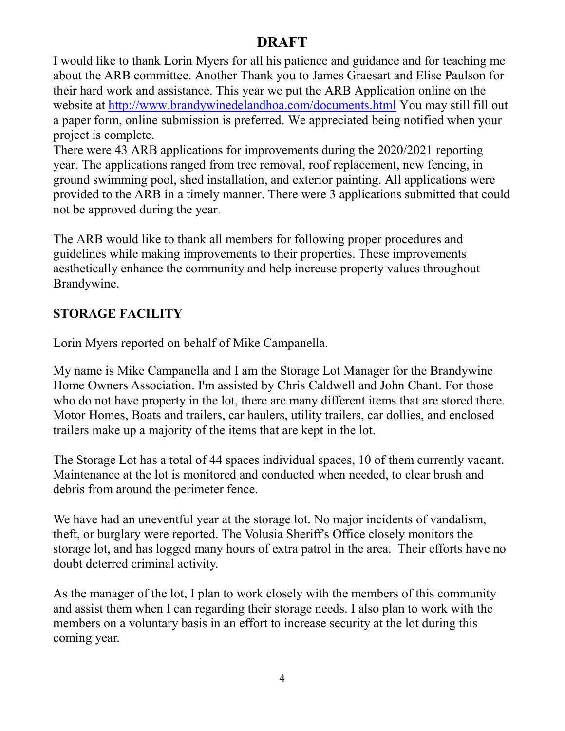I would like to thank Lorin Myers for all his patience and guidance and for teaching me about the ARB committee. Another Thank you to James Graesart and Elise Paulson for their hard work and assistance. This year we put the ARB Application online on the website at http://www.brandywinedelandhoa.com/documents.html You may still fill out a paper form, online submission is preferred. We appreciated being notified when your project is complete.

There were 43 ARB applications for improvements during the 2020/2021 reporting year. The applications ranged from tree removal, roof replacement, new fencing, in ground swimming pool, shed installation, and exterior painting. All applications were provided to the ARB in a timely manner. There were 3 applications submitted that could not be approved during the year.

The ARB would like to thank all members for following proper procedures and guidelines while making improvements to their properties. These improvements aesthetically enhance the community and help increase property values throughout Brandywine.

#### STORAGE FACILITY

Lorin Myers reported on behalf of Mike Campanella.

My name is Mike Campanella and I am the Storage Lot Manager for the Brandywine Home Owners Association. I'm assisted by Chris Caldwell and John Chant. For those who do not have property in the lot, there are many different items that are stored there. Motor Homes, Boats and trailers, car haulers, utility trailers, car dollies, and enclosed trailers make up a majority of the items that are kept in the lot.

The Storage Lot has a total of 44 spaces individual spaces, 10 of them currently vacant. Maintenance at the lot is monitored and conducted when needed, to clear brush and debris from around the perimeter fence.

We have had an uneventful year at the storage lot. No major incidents of vandalism, theft, or burglary were reported. The Volusia Sheriff's Office closely monitors the storage lot, and has logged many hours of extra patrol in the area. Their efforts have no doubt deterred criminal activity.

As the manager of the lot, I plan to work closely with the members of this community and assist them when I can regarding their storage needs. I also plan to work with the members on a voluntary basis in an effort to increase security at the lot during this coming year.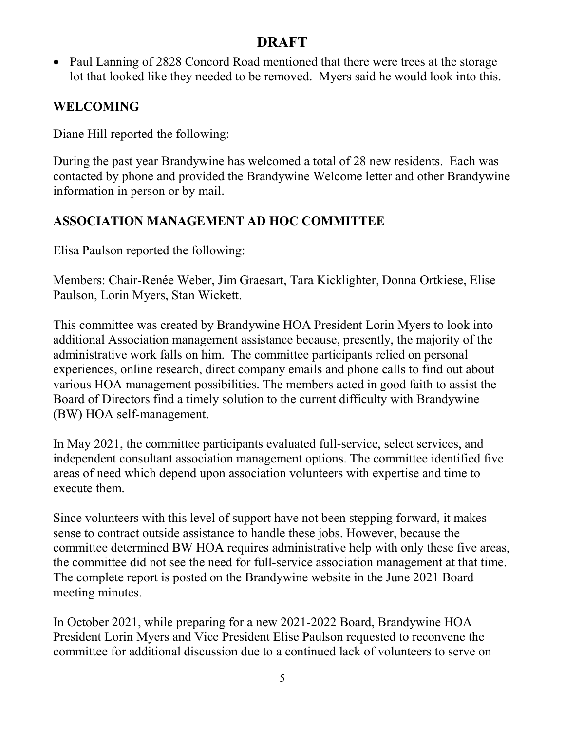• Paul Lanning of 2828 Concord Road mentioned that there were trees at the storage lot that looked like they needed to be removed. Myers said he would look into this.

### WELCOMING

Diane Hill reported the following:

During the past year Brandywine has welcomed a total of 28 new residents. Each was contacted by phone and provided the Brandywine Welcome letter and other Brandywine information in person or by mail.

### ASSOCIATION MANAGEMENT AD HOC COMMITTEE

Elisa Paulson reported the following:

Members: Chair-Renée Weber, Jim Graesart, Tara Kicklighter, Donna Ortkiese, Elise Paulson, Lorin Myers, Stan Wickett.

This committee was created by Brandywine HOA President Lorin Myers to look into additional Association management assistance because, presently, the majority of the administrative work falls on him. The committee participants relied on personal experiences, online research, direct company emails and phone calls to find out about various HOA management possibilities. The members acted in good faith to assist the Board of Directors find a timely solution to the current difficulty with Brandywine (BW) HOA self-management.

In May 2021, the committee participants evaluated full-service, select services, and independent consultant association management options. The committee identified five areas of need which depend upon association volunteers with expertise and time to execute them.

Since volunteers with this level of support have not been stepping forward, it makes sense to contract outside assistance to handle these jobs. However, because the committee determined BW HOA requires administrative help with only these five areas, the committee did not see the need for full-service association management at that time. The complete report is posted on the Brandywine website in the June 2021 Board meeting minutes.

In October 2021, while preparing for a new 2021-2022 Board, Brandywine HOA President Lorin Myers and Vice President Elise Paulson requested to reconvene the committee for additional discussion due to a continued lack of volunteers to serve on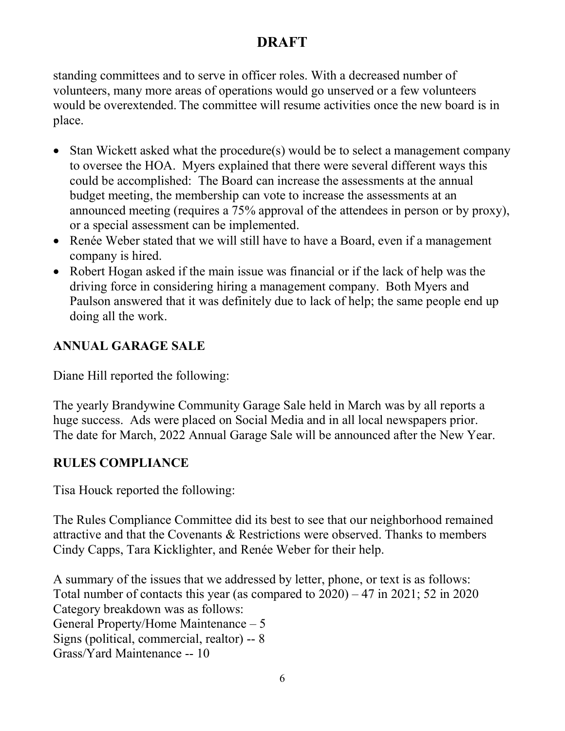standing committees and to serve in officer roles. With a decreased number of volunteers, many more areas of operations would go unserved or a few volunteers would be overextended. The committee will resume activities once the new board is in place.

- Stan Wickett asked what the procedure(s) would be to select a management company to oversee the HOA. Myers explained that there were several different ways this could be accomplished: The Board can increase the assessments at the annual budget meeting, the membership can vote to increase the assessments at an announced meeting (requires a 75% approval of the attendees in person or by proxy), or a special assessment can be implemented.
- Renée Weber stated that we will still have to have a Board, even if a management company is hired.
- Robert Hogan asked if the main issue was financial or if the lack of help was the driving force in considering hiring a management company. Both Myers and Paulson answered that it was definitely due to lack of help; the same people end up doing all the work.

### ANNUAL GARAGE SALE

Diane Hill reported the following:

The yearly Brandywine Community Garage Sale held in March was by all reports a huge success. Ads were placed on Social Media and in all local newspapers prior. The date for March, 2022 Annual Garage Sale will be announced after the New Year.

### RULES COMPLIANCE

Tisa Houck reported the following:

The Rules Compliance Committee did its best to see that our neighborhood remained attractive and that the Covenants & Restrictions were observed. Thanks to members Cindy Capps, Tara Kicklighter, and Renée Weber for their help.

A summary of the issues that we addressed by letter, phone, or text is as follows: Total number of contacts this year (as compared to 2020) – 47 in 2021; 52 in 2020 Category breakdown was as follows: General Property/Home Maintenance – 5 Signs (political, commercial, realtor) -- 8 Grass/Yard Maintenance -- 10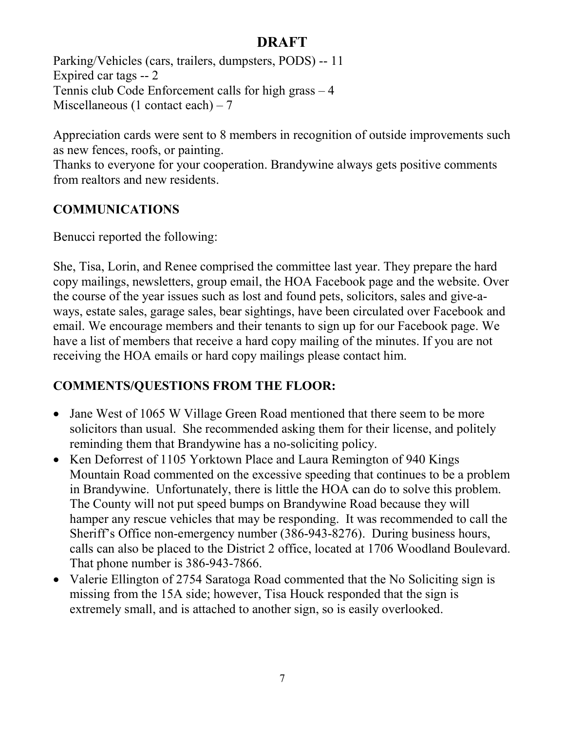Parking/Vehicles (cars, trailers, dumpsters, PODS) -- 11 Expired car tags -- 2 Tennis club Code Enforcement calls for high grass – 4 Miscellaneous (1 contact each) – 7

Appreciation cards were sent to 8 members in recognition of outside improvements such as new fences, roofs, or painting.

Thanks to everyone for your cooperation. Brandywine always gets positive comments from realtors and new residents.

### COMMUNICATIONS

Benucci reported the following:

She, Tisa, Lorin, and Renee comprised the committee last year. They prepare the hard copy mailings, newsletters, group email, the HOA Facebook page and the website. Over the course of the year issues such as lost and found pets, solicitors, sales and give-aways, estate sales, garage sales, bear sightings, have been circulated over Facebook and email. We encourage members and their tenants to sign up for our Facebook page. We have a list of members that receive a hard copy mailing of the minutes. If you are not receiving the HOA emails or hard copy mailings please contact him.

### COMMENTS/QUESTIONS FROM THE FLOOR:

- Jane West of 1065 W Village Green Road mentioned that there seem to be more solicitors than usual. She recommended asking them for their license, and politely reminding them that Brandywine has a no-soliciting policy.
- Ken Deforrest of 1105 Yorktown Place and Laura Remington of 940 Kings Mountain Road commented on the excessive speeding that continues to be a problem in Brandywine. Unfortunately, there is little the HOA can do to solve this problem. The County will not put speed bumps on Brandywine Road because they will hamper any rescue vehicles that may be responding. It was recommended to call the Sheriff's Office non-emergency number (386-943-8276). During business hours, calls can also be placed to the District 2 office, located at 1706 Woodland Boulevard. That phone number is 386-943-7866.
- Valerie Ellington of 2754 Saratoga Road commented that the No Soliciting sign is missing from the 15A side; however, Tisa Houck responded that the sign is extremely small, and is attached to another sign, so is easily overlooked.